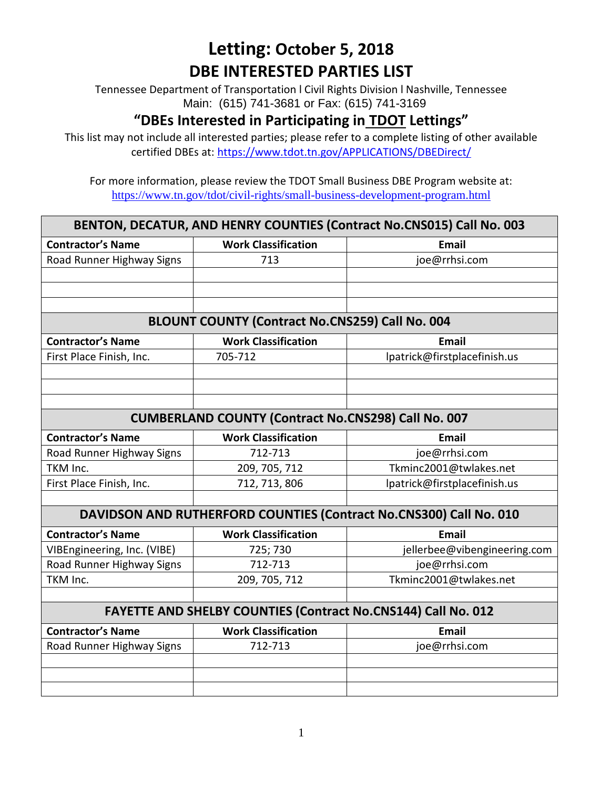Tennessee Department of Transportation l Civil Rights Division l Nashville, Tennessee Main: (615) 741-3681 or Fax: (615) 741-3169

### **"DBEs Interested in Participating in TDOT Lettings"**

This list may not include all interested parties; please refer to a complete listing of other available certified DBEs at:<https://www.tdot.tn.gov/APPLICATIONS/DBEDirect/>

| BENTON, DECATUR, AND HENRY COUNTIES (Contract No.CNS015) Call No. 003 |                                                                      |                                                                    |  |  |
|-----------------------------------------------------------------------|----------------------------------------------------------------------|--------------------------------------------------------------------|--|--|
| <b>Contractor's Name</b>                                              | <b>Work Classification</b>                                           | <b>Email</b>                                                       |  |  |
| Road Runner Highway Signs                                             | 713                                                                  | joe@rrhsi.com                                                      |  |  |
|                                                                       |                                                                      |                                                                    |  |  |
|                                                                       |                                                                      |                                                                    |  |  |
|                                                                       |                                                                      |                                                                    |  |  |
| BLOUNT COUNTY (Contract No.CNS259) Call No. 004                       |                                                                      |                                                                    |  |  |
| <b>Contractor's Name</b>                                              | <b>Work Classification</b>                                           | <b>Email</b>                                                       |  |  |
| First Place Finish, Inc.                                              | 705-712                                                              | lpatrick@firstplacefinish.us                                       |  |  |
|                                                                       |                                                                      |                                                                    |  |  |
|                                                                       |                                                                      |                                                                    |  |  |
|                                                                       |                                                                      |                                                                    |  |  |
| <b>CUMBERLAND COUNTY (Contract No.CNS298) Call No. 007</b>            |                                                                      |                                                                    |  |  |
| <b>Contractor's Name</b>                                              | <b>Work Classification</b>                                           | <b>Email</b>                                                       |  |  |
| Road Runner Highway Signs                                             | 712-713                                                              | joe@rrhsi.com                                                      |  |  |
| TKM Inc.                                                              | 209, 705, 712                                                        | Tkminc2001@twlakes.net                                             |  |  |
| First Place Finish, Inc.                                              | 712, 713, 806                                                        | lpatrick@firstplacefinish.us                                       |  |  |
|                                                                       |                                                                      |                                                                    |  |  |
|                                                                       |                                                                      | DAVIDSON AND RUTHERFORD COUNTIES (Contract No.CNS300) Call No. 010 |  |  |
| <b>Contractor's Name</b>                                              | <b>Work Classification</b>                                           | Email                                                              |  |  |
| VIBEngineering, Inc. (VIBE)                                           | 725; 730                                                             | jellerbee@vibengineering.com                                       |  |  |
| Road Runner Highway Signs                                             | 712-713                                                              | joe@rrhsi.com                                                      |  |  |
| TKM Inc.                                                              | 209, 705, 712                                                        | Tkminc2001@twlakes.net                                             |  |  |
|                                                                       |                                                                      |                                                                    |  |  |
|                                                                       | <b>FAYETTE AND SHELBY COUNTIES (Contract No.CNS144) Call No. 012</b> |                                                                    |  |  |
| <b>Contractor's Name</b>                                              | <b>Work Classification</b>                                           | <b>Email</b>                                                       |  |  |
| Road Runner Highway Signs                                             | 712-713                                                              | joe@rrhsi.com                                                      |  |  |
|                                                                       |                                                                      |                                                                    |  |  |
|                                                                       |                                                                      |                                                                    |  |  |
|                                                                       |                                                                      |                                                                    |  |  |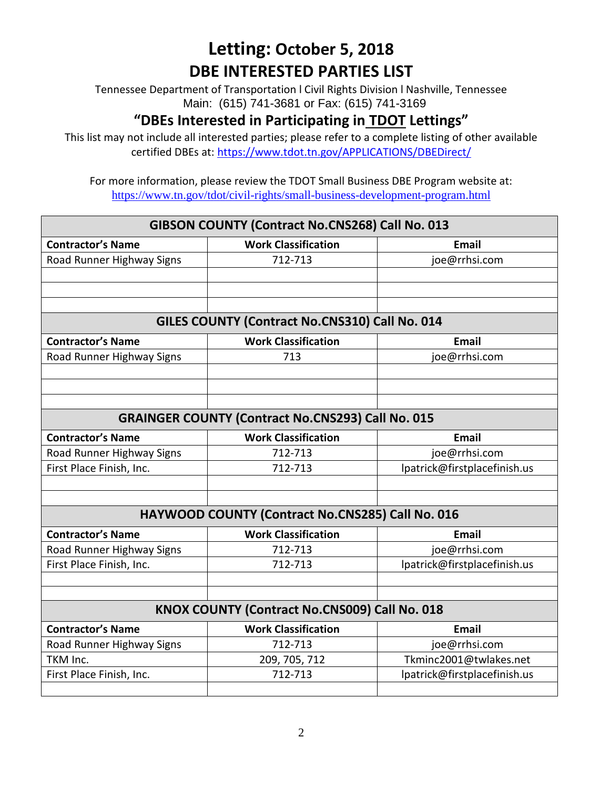Tennessee Department of Transportation l Civil Rights Division l Nashville, Tennessee Main: (615) 741-3681 or Fax: (615) 741-3169

#### **"DBEs Interested in Participating in TDOT Lettings"**

This list may not include all interested parties; please refer to a complete listing of other available certified DBEs at:<https://www.tdot.tn.gov/APPLICATIONS/DBEDirect/>

| GIBSON COUNTY (Contract No.CNS268) Call No. 013          |                                               |                              |  |  |
|----------------------------------------------------------|-----------------------------------------------|------------------------------|--|--|
| <b>Contractor's Name</b>                                 | <b>Work Classification</b>                    | <b>Email</b>                 |  |  |
| Road Runner Highway Signs                                | 712-713                                       | joe@rrhsi.com                |  |  |
|                                                          |                                               |                              |  |  |
|                                                          |                                               |                              |  |  |
|                                                          |                                               |                              |  |  |
| GILES COUNTY (Contract No.CNS310) Call No. 014           |                                               |                              |  |  |
| <b>Contractor's Name</b>                                 | <b>Work Classification</b>                    | <b>Email</b>                 |  |  |
| Road Runner Highway Signs                                | 713                                           | joe@rrhsi.com                |  |  |
|                                                          |                                               |                              |  |  |
|                                                          |                                               |                              |  |  |
|                                                          |                                               |                              |  |  |
| <b>GRAINGER COUNTY (Contract No.CNS293) Call No. 015</b> |                                               |                              |  |  |
| <b>Contractor's Name</b>                                 | <b>Work Classification</b>                    | <b>Email</b>                 |  |  |
| Road Runner Highway Signs                                | 712-713                                       | joe@rrhsi.com                |  |  |
| First Place Finish, Inc.                                 | 712-713                                       | lpatrick@firstplacefinish.us |  |  |
|                                                          |                                               |                              |  |  |
|                                                          |                                               |                              |  |  |
| <b>HAYWOOD COUNTY (Contract No.CNS285) Call No. 016</b>  |                                               |                              |  |  |
| <b>Contractor's Name</b>                                 | <b>Work Classification</b>                    | <b>Email</b>                 |  |  |
| Road Runner Highway Signs                                | 712-713                                       | joe@rrhsi.com                |  |  |
| First Place Finish, Inc.                                 | 712-713                                       | lpatrick@firstplacefinish.us |  |  |
|                                                          |                                               |                              |  |  |
|                                                          |                                               |                              |  |  |
|                                                          | KNOX COUNTY (Contract No.CNS009) Call No. 018 |                              |  |  |
| <b>Contractor's Name</b>                                 | <b>Work Classification</b>                    | <b>Email</b>                 |  |  |
| Road Runner Highway Signs                                | 712-713                                       | joe@rrhsi.com                |  |  |
| TKM Inc.                                                 | 209, 705, 712                                 | Tkminc2001@twlakes.net       |  |  |
| First Place Finish, Inc.                                 | 712-713                                       | lpatrick@firstplacefinish.us |  |  |
|                                                          |                                               |                              |  |  |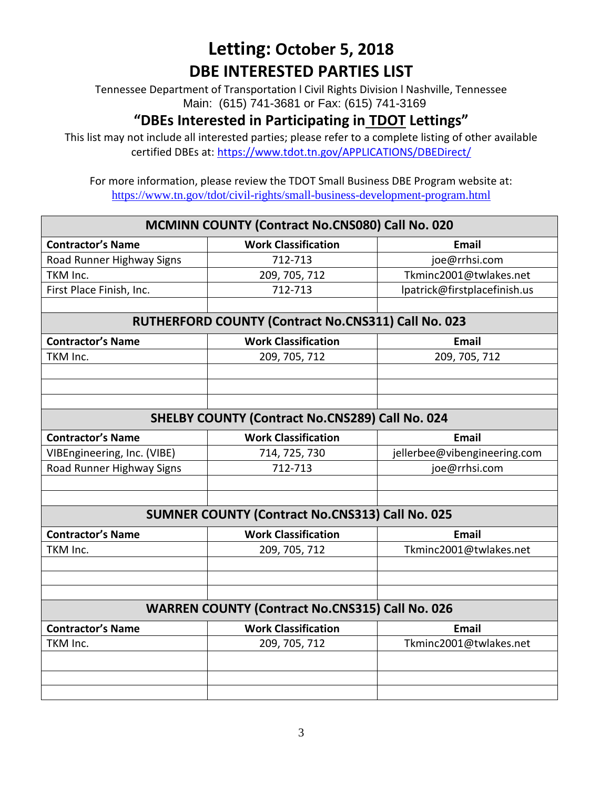Tennessee Department of Transportation l Civil Rights Division l Nashville, Tennessee Main: (615) 741-3681 or Fax: (615) 741-3169

#### **"DBEs Interested in Participating in TDOT Lettings"**

This list may not include all interested parties; please refer to a complete listing of other available certified DBEs at:<https://www.tdot.tn.gov/APPLICATIONS/DBEDirect/>

| <b>MCMINN COUNTY (Contract No.CNS080) Call No. 020</b> |                                                        |                              |  |  |
|--------------------------------------------------------|--------------------------------------------------------|------------------------------|--|--|
| <b>Contractor's Name</b>                               | <b>Work Classification</b>                             | <b>Email</b>                 |  |  |
| Road Runner Highway Signs                              | 712-713                                                | joe@rrhsi.com                |  |  |
| TKM Inc.                                               | 209, 705, 712                                          | Tkminc2001@twlakes.net       |  |  |
| First Place Finish, Inc.                               | 712-713                                                | lpatrick@firstplacefinish.us |  |  |
|                                                        |                                                        |                              |  |  |
| RUTHERFORD COUNTY (Contract No.CNS311) Call No. 023    |                                                        |                              |  |  |
| <b>Contractor's Name</b>                               | <b>Work Classification</b>                             | <b>Email</b>                 |  |  |
| TKM Inc.                                               | 209, 705, 712                                          | 209, 705, 712                |  |  |
|                                                        |                                                        |                              |  |  |
|                                                        |                                                        |                              |  |  |
|                                                        |                                                        |                              |  |  |
| <b>SHELBY COUNTY (Contract No.CNS289) Call No. 024</b> |                                                        |                              |  |  |
| <b>Contractor's Name</b>                               | <b>Work Classification</b>                             | <b>Email</b>                 |  |  |
| VIBEngineering, Inc. (VIBE)                            | 714, 725, 730                                          | jellerbee@vibengineering.com |  |  |
| Road Runner Highway Signs                              | 712-713                                                | joe@rrhsi.com                |  |  |
|                                                        |                                                        |                              |  |  |
|                                                        |                                                        |                              |  |  |
|                                                        | <b>SUMNER COUNTY (Contract No.CNS313) Call No. 025</b> |                              |  |  |
| <b>Contractor's Name</b>                               | <b>Work Classification</b>                             | <b>Email</b>                 |  |  |
| TKM Inc.                                               | 209, 705, 712                                          | Tkminc2001@twlakes.net       |  |  |
|                                                        |                                                        |                              |  |  |
|                                                        |                                                        |                              |  |  |
|                                                        |                                                        |                              |  |  |
|                                                        | <b>WARREN COUNTY (Contract No.CNS315) Call No. 026</b> |                              |  |  |
| <b>Contractor's Name</b>                               | <b>Work Classification</b>                             | <b>Email</b>                 |  |  |
| TKM Inc.                                               | 209, 705, 712                                          | Tkminc2001@twlakes.net       |  |  |
|                                                        |                                                        |                              |  |  |
|                                                        |                                                        |                              |  |  |
|                                                        |                                                        |                              |  |  |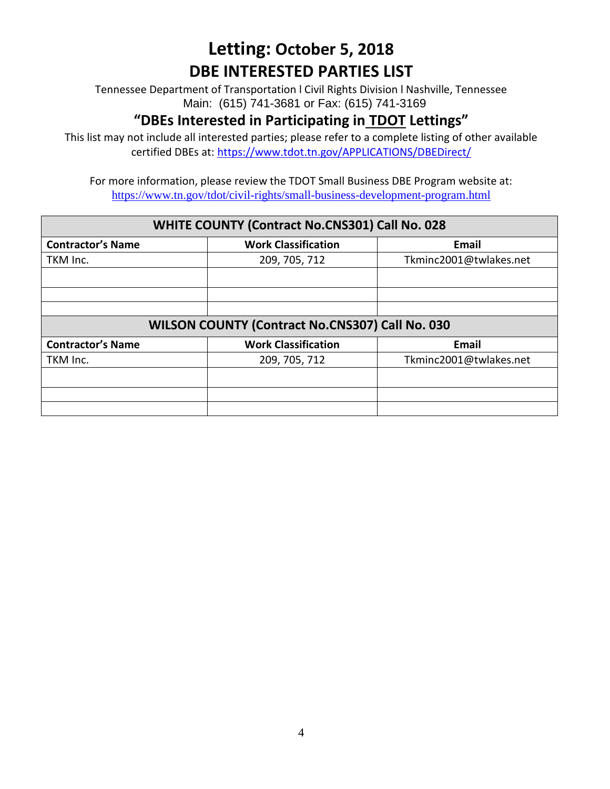Tennessee Department of Transportation l Civil Rights Division l Nashville, Tennessee Main: (615) 741-3681 or Fax: (615) 741-3169

#### **"DBEs Interested in Participating in TDOT Lettings"**

This list may not include all interested parties; please refer to a complete listing of other available certified DBEs at:<https://www.tdot.tn.gov/APPLICATIONS/DBEDirect/>

| <b>WHITE COUNTY (Contract No.CNS301) Call No. 028</b> |                            |                        |  |
|-------------------------------------------------------|----------------------------|------------------------|--|
| <b>Contractor's Name</b>                              | <b>Work Classification</b> | Email                  |  |
| TKM Inc.                                              | 209, 705, 712              | Tkminc2001@twlakes.net |  |
|                                                       |                            |                        |  |
|                                                       |                            |                        |  |
|                                                       |                            |                        |  |
| WILSON COUNTY (Contract No.CNS307) Call No. 030       |                            |                        |  |
| <b>Contractor's Name</b>                              | <b>Work Classification</b> | Email                  |  |
| TKM Inc.                                              | 209, 705, 712              | Tkminc2001@twlakes.net |  |
|                                                       |                            |                        |  |
|                                                       |                            |                        |  |
|                                                       |                            |                        |  |